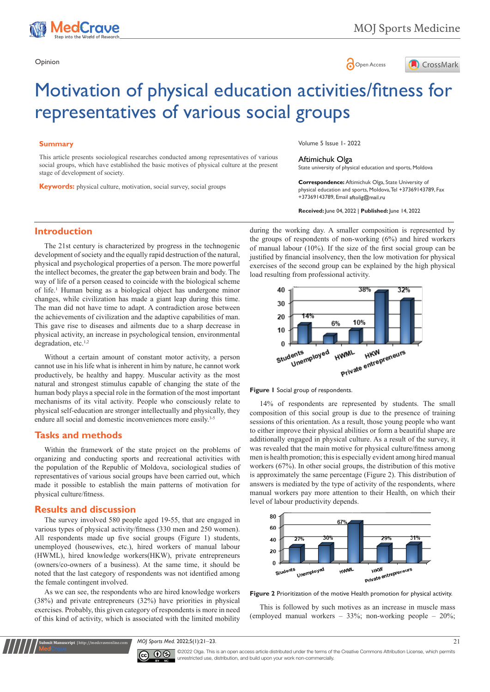





# Motivation of physical education activities/fitness for representatives of various social groups

### **Summary**

This article presents sociological researches conducted among representatives of various social groups, which have established the basic motives of physical culture at the present stage of development of society.

**Keywords:** physical culture, motivation, social survey, social groups

Volume 5 Issue 1- 2022

#### Aftimichuk Olga

State university of physical education and sports, Moldova

**Correspondence:** Aftimichuk Olga, State University of physical education and sports, Moldova, Tel +37369143789, Fax +37369143789, Email aftolig@mail.ru

**Received:** June 04, 2022 | **Published:** June 14, 2022

## **Introduction**

The 21st century is characterized by progress in the technogenic development of society and the equally rapid destruction of the natural, physical and psychological properties of a person. The more powerful the intellect becomes, the greater the gap between brain and body. The way of life of a person ceased to coincide with the biological scheme of life.<sup>1</sup> Human being as a biological object has undergone minor changes, while civilization has made a giant leap during this time. The man did not have time to adapt. A contradiction arose between the achievements of civilization and the adaptive capabilities of man. This gave rise to diseases and ailments due to a sharp decrease in physical activity, an increase in psychological tension, environmental degradation, etc.<sup>1,2</sup>

Without a certain amount of constant motor activity, a person cannot use in his life what is inherent in him by nature, he cannot work productively, be healthy and happy. Muscular activity as the most natural and strongest stimulus capable of changing the state of the human body plays a special role in the formation of the most important mechanisms of its vital activity. People who consciously relate to physical self-education are stronger intellectually and physically, they endure all social and domestic inconveniences more easily.<sup>3-5</sup>

#### **Tasks and methods**

Within the framework of the state project on the problems of organizing and conducting sports and recreational activities with the population of the Republic of Moldova, sociological studies of representatives of various social groups have been carried out, which made it possible to establish the main patterns of motivation for physical culture/fitness.

#### **Results and discussion**

**Submit Manuscript** | http://medcraveonline.com

The survey involved 580 people aged 19-55, that are engaged in various types of physical activity/fitness (330 men and 250 women). All respondents made up five social groups (Figure 1) students, unemployed (housewives, etc.), hired workers of manual labour (HWML), hired knowledge workers(HKW), private entrepreneurs (owners/co-owners of a business). At the same time, it should be noted that the last category of respondents was not identified among the female contingent involved.

As we can see, the respondents who are hired knowledge workers (38%) and private entrepreneurs (32%) have priorities in physical exercises. Probably, this given category of respondents is more in need of this kind of activity, which is associated with the limited mobility

during the working day. A smaller composition is represented by the groups of respondents of non-working (6%) and hired workers of manual labour (10%). If the size of the first social group can be justified by financial insolvency, then the low motivation for physical exercises of the second group can be explained by the high physical load resulting from professional activity.





14% of respondents are represented by students. The small composition of this social group is due to the presence of training sessions of this orientation. As a result, those young people who want to either improve their physical abilities or form a beautiful shape are additionally engaged in physical culture. As a result of the survey, it was revealed that the main motive for physical culture/fitness among men is health promotion; this is especially evident among hired manual workers (67%). In other social groups, the distribution of this motive is approximately the same percentage (Figure 2). This distribution of answers is mediated by the type of activity of the respondents, where manual workers pay more attention to their Health, on which their level of labour productivity depends.



**Figure 2** Prioritization of the motive Health promotion for physical activity.

This is followed by such motives as an increase in muscle mass (employed manual workers – 33%; non-working people – 20%;

*MOJ Sports Med.* 2022;5(1):21‒23. 21



©2022 Olga. This is an open access article distributed under the terms of the Creative Commons Attribution License, which permits unrestricted use, distribution, and build upon your work non-commercially.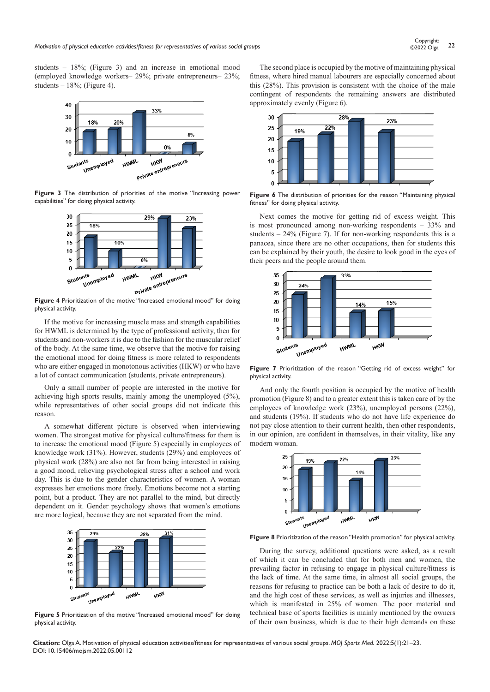students – 18%; (Figure 3) and an increase in emotional mood (employed knowledge workers– 29%; private entrepreneurs– 23%; students  $-18\%$ ; (Figure 4).



**Figure 3** The distribution of priorities of the motive "Increasing power capabilities" for doing physical activity.



physical activity.

If the motive for increasing muscle mass and strength capabilities for HWML is determined by the type of professional activity, then for students and non-workers it is due to the fashion for the muscular relief of the body. At the same time, we observe that the motive for raising the emotional mood for doing fitness is more related to respondents who are either engaged in monotonous activities (HKW) or who have a lot of contact communication (students, private entrepreneurs).

Only a small number of people are interested in the motive for achieving high sports results, mainly among the unemployed (5%), while representatives of other social groups did not indicate this reason.

A somewhat different picture is observed when interviewing women. The strongest motive for physical culture/fitness for them is to increase the emotional mood (Figure 5) especially in employees of knowledge work (31%). However, students (29%) and employees of physical work (28%) are also not far from being interested in raising a good mood, relieving psychological stress after a school and work day. This is due to the gender characteristics of women. A woman expresses her emotions more freely. Emotions become not a starting point, but a product. They are not parallel to the mind, but directly dependent on it. Gender psychology shows that women's emotions are more logical, because they are not separated from the mind.



**Figure 5** Prioritization of the motive "Increased emotional mood" for doing physical activity.

The second place is occupied by the motive of maintaining physical fitness, where hired manual labourers are especially concerned about this (28%). This provision is consistent with the choice of the male contingent of respondents the remaining answers are distributed approximately evenly (Figure 6).



**Figure 6** The distribution of priorities for the reason "Maintaining physical fitness" for doing physical activity.

Next comes the motive for getting rid of excess weight. This is most pronounced among non-working respondents – 33% and students – 24% (Figure 7). If for non-working respondents this is a panacea, since there are no other occupations, then for students this can be explained by their youth, the desire to look good in the eyes of their peers and the people around them.



**Figure 7** Prioritization of the reason "Getting rid of excess weight" for physical activity.

And only the fourth position is occupied by the motive of health promotion (Figure 8) and to a greater extent this is taken care of by the employees of knowledge work (23%), unemployed persons (22%), and students (19%). If students who do not have life experience do not pay close attention to their current health, then other respondents, in our opinion, are confident in themselves, in their vitality, like any modern woman.



**Figure 8** Prioritization of the reason "Health promotion" for physical activity.

During the survey, additional questions were asked, as a result of which it can be concluded that for both men and women, the prevailing factor in refusing to engage in physical culture/fitness is the lack of time. At the same time, in almost all social groups, the reasons for refusing to practice can be both a lack of desire to do it, and the high cost of these services, as well as injuries and illnesses, which is manifested in 25% of women. The poor material and technical base of sports facilities is mainly mentioned by the owners of their own business, which is due to their high demands on these

**Citation:** Olga A. Motivation of physical education activities/fitness for representatives of various social groups. *MOJ Sports Med.* 2022;5(1):21‒23. DOI: [10.15406/mojsm.2022.05.00112](https://doi.org/10.15406/mojsm.2022.05.00112)